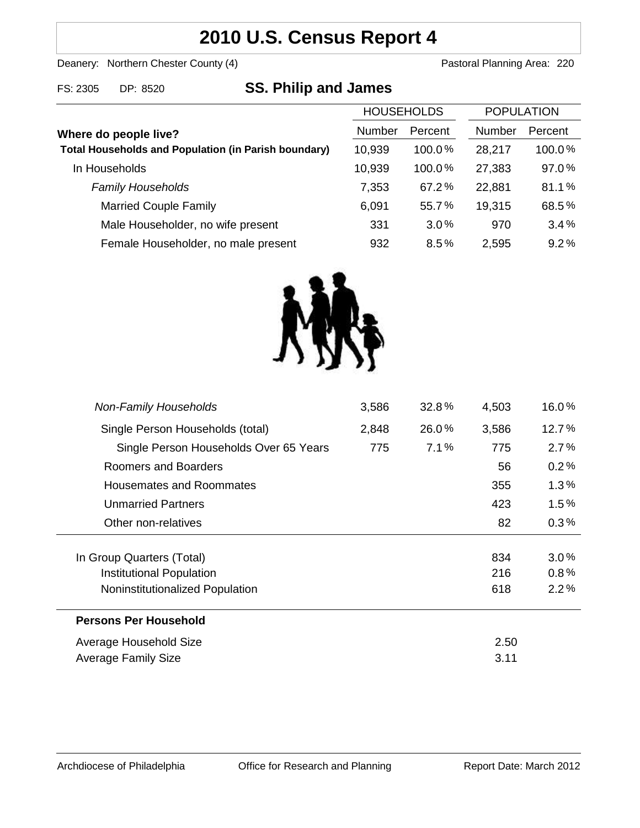## **2010 U.S. Census Report 4**

Deanery: Northern Chester County (4) Deanery: Northern Chester County (4)

# **SS. Philip and James**

| <b>HOUSEHOLDS</b> |           | <b>POPULATION</b> |         |
|-------------------|-----------|-------------------|---------|
| <b>Number</b>     | Percent   | <b>Number</b>     | Percent |
| 10,939            | 100.0%    | 28,217            | 100.0%  |
| 10,939            | $100.0\%$ | 27,383            | 97.0%   |
| 7,353             | 67.2%     | 22,881            | 81.1%   |
| 6,091             | 55.7%     | 19,315            | 68.5%   |
| 331               | $3.0\%$   | 970               | 3.4%    |
| 932               | 8.5%      | 2,595             | 9.2%    |
|                   |           |                   |         |



| <b>Non-Family Households</b>           | 3,586 | 32.8% | 4,503 | 16.0%   |
|----------------------------------------|-------|-------|-------|---------|
| Single Person Households (total)       | 2,848 | 26.0% | 3,586 | 12.7%   |
| Single Person Households Over 65 Years | 775   | 7.1%  | 775   | $2.7\%$ |
| Roomers and Boarders                   |       |       | 56    | 0.2%    |
| Housemates and Roommates               |       |       | 355   | 1.3%    |
| <b>Unmarried Partners</b>              |       |       | 423   | $1.5\%$ |
| Other non-relatives                    |       |       | 82    | 0.3%    |
|                                        |       |       |       |         |
| In Group Quarters (Total)              |       |       | 834   | 3.0%    |
| <b>Institutional Population</b>        |       |       | 216   | 0.8%    |
| Noninstitutionalized Population        |       |       | 618   | 2.2%    |
| <b>Persons Per Household</b>           |       |       |       |         |
| Average Household Size                 |       |       | 2.50  |         |
| Average Family Size                    |       |       | 3.11  |         |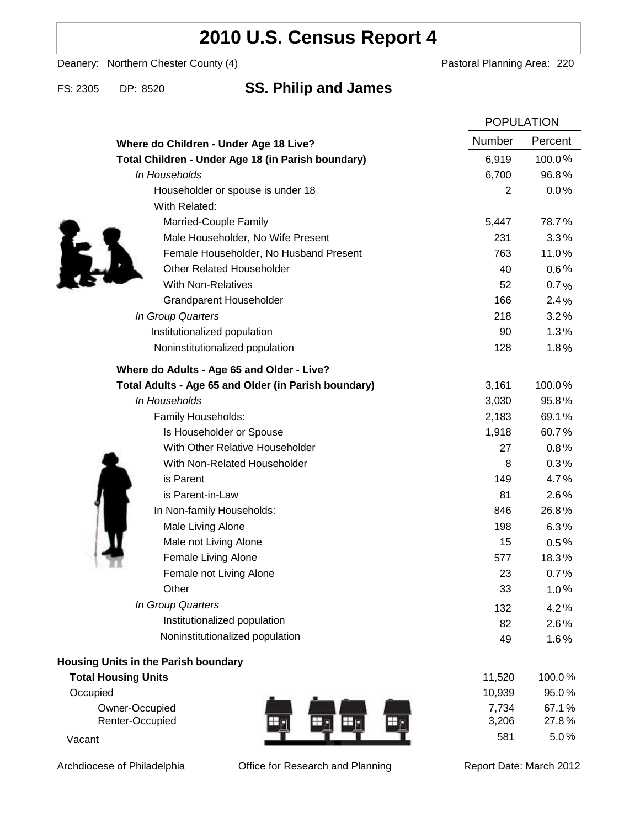# **2010 U.S. Census Report 4**

Deanery: Northern Chester County (4) Deanery: Northern Chester County (4)

### FS: 2305 DP: 8520 **SS. Philip and James**

|                                                      |                | <b>POPULATION</b> |  |
|------------------------------------------------------|----------------|-------------------|--|
| Where do Children - Under Age 18 Live?               | <b>Number</b>  | Percent           |  |
| Total Children - Under Age 18 (in Parish boundary)   | 6,919          | 100.0%            |  |
| In Households                                        | 6,700          | 96.8%             |  |
| Householder or spouse is under 18                    | $\overline{2}$ | 0.0%              |  |
| With Related:                                        |                |                   |  |
| Married-Couple Family                                | 5,447          | 78.7%             |  |
| Male Householder, No Wife Present                    | 231            | 3.3%              |  |
| Female Householder, No Husband Present               | 763            | 11.0%             |  |
| <b>Other Related Householder</b>                     | 40             | 0.6%              |  |
| <b>With Non-Relatives</b>                            | 52             | 0.7%              |  |
| Grandparent Householder                              | 166            | 2.4%              |  |
| In Group Quarters                                    | 218            | 3.2%              |  |
| Institutionalized population                         | 90             | 1.3%              |  |
| Noninstitutionalized population                      | 128            | 1.8%              |  |
| Where do Adults - Age 65 and Older - Live?           |                |                   |  |
| Total Adults - Age 65 and Older (in Parish boundary) | 3,161          | 100.0%            |  |
| In Households                                        | 3,030          | 95.8%             |  |
| Family Households:                                   | 2,183          | 69.1%             |  |
| Is Householder or Spouse                             | 1,918          | 60.7%             |  |
| With Other Relative Householder                      | 27             | 0.8%              |  |
| With Non-Related Householder                         | 8              | 0.3%              |  |
| is Parent                                            | 149            | 4.7%              |  |
| is Parent-in-Law                                     | 81             | 2.6%              |  |
| In Non-family Households:                            | 846            | 26.8%             |  |
| Male Living Alone                                    | 198            | 6.3%              |  |
| Male not Living Alone                                | 15             | $0.5\%$           |  |
| Female Living Alone                                  | 577            | 18.3%             |  |
| Female not Living Alone                              | 23             | 0.7%              |  |
| Other                                                | 33             | 1.0%              |  |
| In Group Quarters                                    | 132            | 4.2%              |  |
| Institutionalized population                         | 82             | 2.6%              |  |
| Noninstitutionalized population                      | 49             | 1.6%              |  |
| Housing Units in the Parish boundary                 |                |                   |  |
| <b>Total Housing Units</b>                           | 11,520         | 100.0%            |  |
| Occupied                                             | 10,939         | 95.0%             |  |
| Owner-Occupied                                       | 7,734          | 67.1%             |  |
| Renter-Occupied                                      | 3,206          | 27.8%             |  |
| Vacant                                               | 581            | 5.0%              |  |

Archdiocese of Philadelphia **Office for Research and Planning** Report Date: March 2012